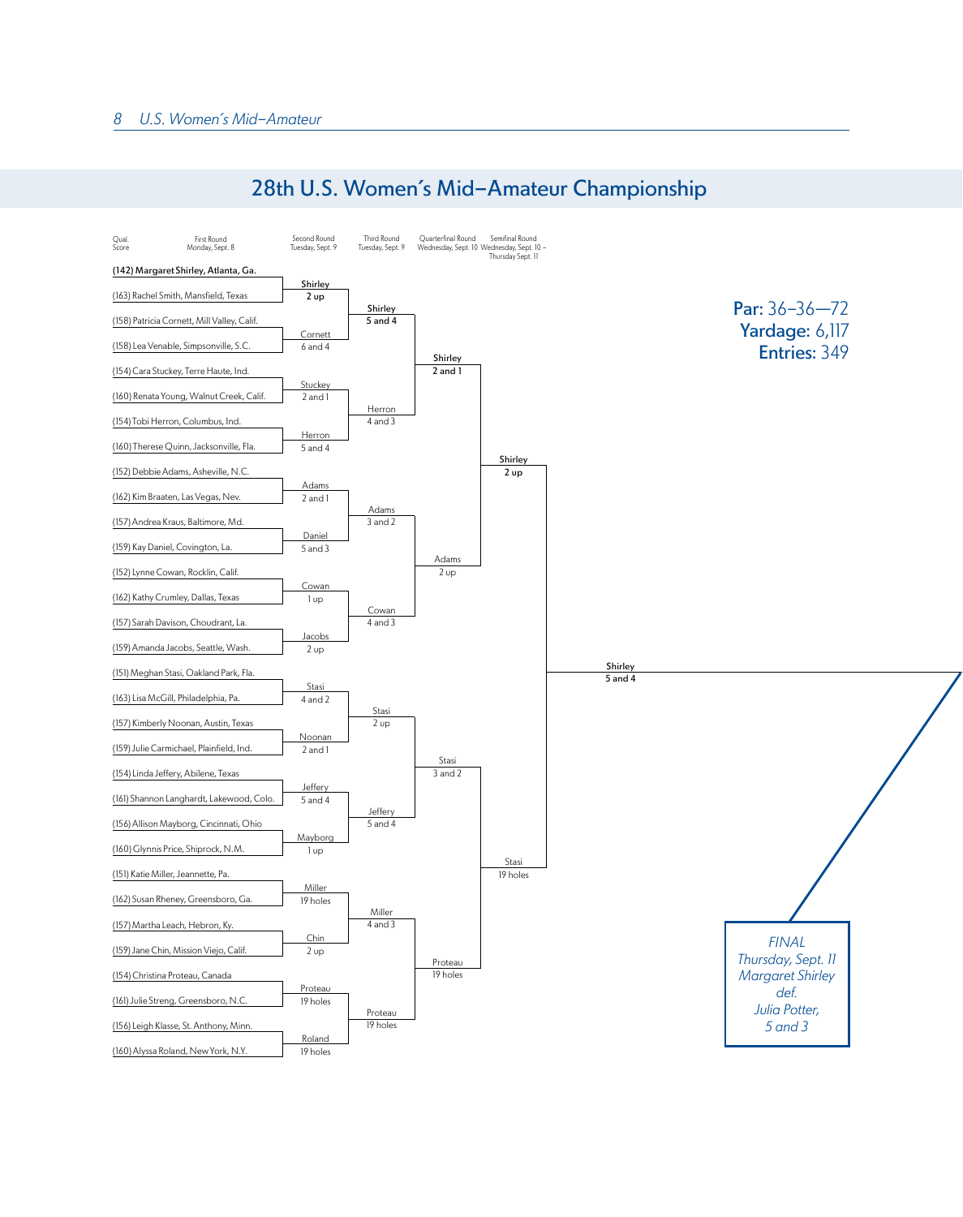

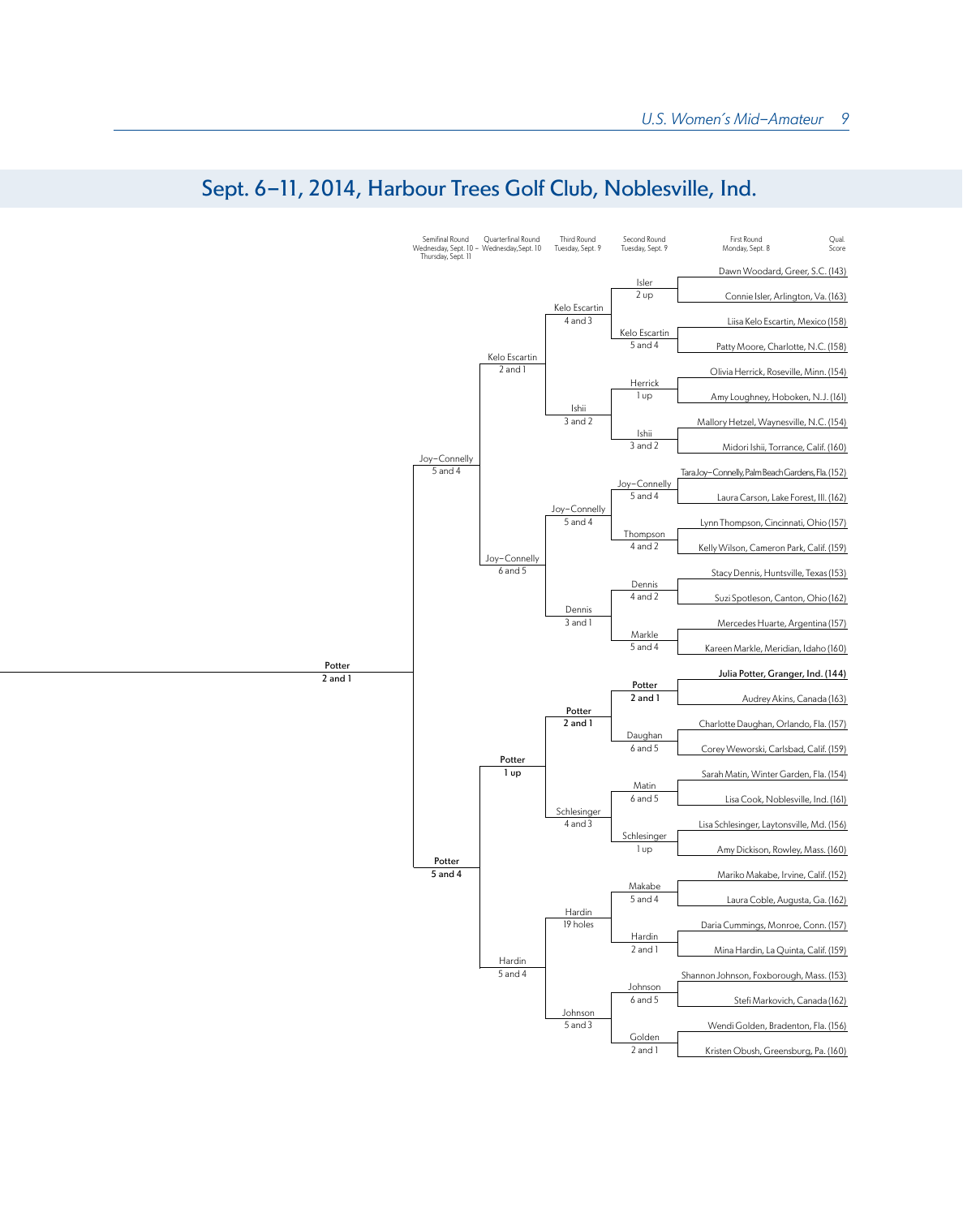

## Sept. 6-11, 2014, Harbour Trees Golf Club, Noblesville, Ind.